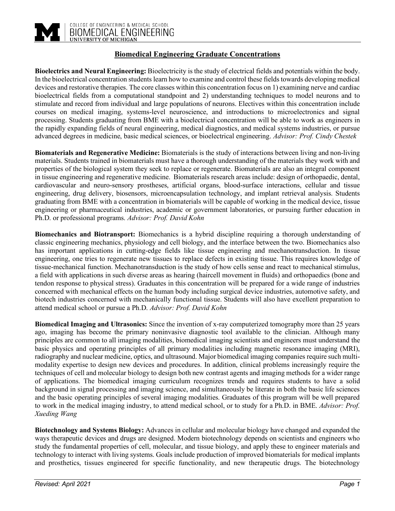

# **Biomedical Engineering Graduate Concentrations**

**Bioelectrics and Neural Engineering:** Bioelectricity is the study of electrical fields and potentials within the body. In the bioelectrical concentration students learn how to examine and control these fields towards developing medical devices and restorative therapies. The core classes within this concentration focus on 1) examining nerve and cardiac bioelectrical fields from a computational standpoint and 2) understanding techniques to model neurons and to stimulate and record from individual and large populations of neurons. Electives within this concentration include courses on medical imaging, systems-level neuroscience, and introductions to microelectronics and signal processing. Students graduating from BME with a bioelectrical concentration will be able to work as engineers in the rapidly expanding fields of neural engineering, medical diagnostics, and medical systems industries, or pursue advanced degrees in medicine, basic medical sciences, or bioelectrical engineering. *Advisor: Prof. Cindy Chestek*

**Biomaterials and Regenerative Medicine:** Biomaterials is the study of interactions between living and non-living materials. Students trained in biomaterials must have a thorough understanding of the materials they work with and properties of the biological system they seek to replace or regenerate. Biomaterials are also an integral component in tissue engineering and regenerative medicine. Biomaterials research areas include: design of orthopaedic, dental, cardiovascular and neuro-sensory prostheses, artificial organs, blood-surface interactions, cellular and tissue engineering, drug delivery, biosensors, microencapsulation technology, and implant retrieval analysis. Students graduating from BME with a concentration in biomaterials will be capable of working in the medical device, tissue engineering or pharmaceutical industries, academic or government laboratories, or pursuing further education in Ph.D. or professional programs. *Advisor: Prof. David Kohn*

**Biomechanics and Biotransport:** Biomechanics is a hybrid discipline requiring a thorough understanding of classic engineering mechanics, physiology and cell biology, and the interface between the two. Biomechanics also has important applications in cutting-edge fields like tissue engineering and mechanotransduction. In tissue engineering, one tries to regenerate new tissues to replace defects in existing tissue. This requires knowledge of tissue-mechanical function. Mechanotransduction is the study of how cells sense and react to mechanical stimulus, a field with applications in such diverse areas as hearing (haircell movement in fluids) and orthopaedics (bone and tendon response to physical stress). Graduates in this concentration will be prepared for a wide range of industries concerned with mechanical effects on the human body including surgical device industries, automotive safety, and biotech industries concerned with mechanically functional tissue. Students will also have excellent preparation to attend medical school or pursue a Ph.D. *Advisor: Prof. David Kohn*

**Biomedical Imaging and Ultrasonics:** Since the invention of x-ray computerized tomography more than 25 years ago, imaging has become the primary noninvasive diagnostic tool available to the clinician. Although many principles are common to all imaging modalities, biomedical imaging scientists and engineers must understand the basic physics and operating principles of all primary modalities including magnetic resonance imaging (MRI), radiography and nuclear medicine, optics, and ultrasound. Major biomedical imaging companies require such multimodality expertise to design new devices and procedures. In addition, clinical problems increasingly require the techniques of cell and molecular biology to design both new contrast agents and imaging methods for a wider range of applications. The biomedical imaging curriculum recognizes trends and requires students to have a solid background in signal processing and imaging science, and simultaneously be literate in both the basic life sciences and the basic operating principles of several imaging modalities. Graduates of this program will be well prepared to work in the medical imaging industry, to attend medical school, or to study for a Ph.D. in BME. *Advisor: Prof. Xueding Wang*

**Biotechnology and Systems Biology:** Advances in cellular and molecular biology have changed and expanded the ways therapeutic devices and drugs are designed. Modern biotechnology depends on scientists and engineers who study the fundamental properties of cell, molecular, and tissue biology, and apply these to engineer materials and technology to interact with living systems. Goals include production of improved biomaterials for medical implants and prosthetics, tissues engineered for specific functionality, and new therapeutic drugs. The biotechnology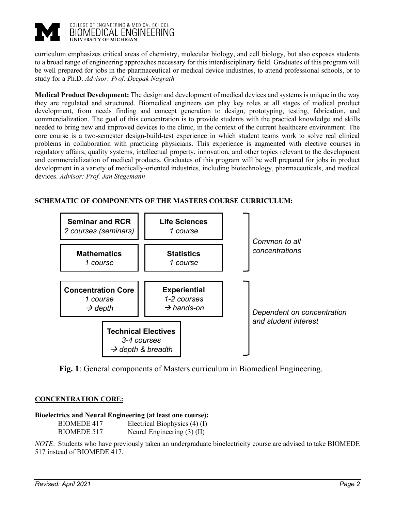

curriculum emphasizes critical areas of chemistry, molecular biology, and cell biology, but also exposes students to a broad range of engineering approaches necessary for this interdisciplinary field. Graduates of this program will be well prepared for jobs in the pharmaceutical or medical device industries, to attend professional schools, or to study for a Ph.D. *Advisor: Prof. Deepak Nagrath*

**Medical Product Development:** The design and development of medical devices and systems is unique in the way they are regulated and structured. Biomedical engineers can play key roles at all stages of medical product development, from needs finding and concept generation to design, prototyping, testing, fabrication, and commercialization. The goal of this concentration is to provide students with the practical knowledge and skills needed to bring new and improved devices to the clinic, in the context of the current healthcare environment. The core course is a two-semester design-build-test experience in which student teams work to solve real clinical problems in collaboration with practicing physicians. This experience is augmented with elective courses in regulatory affairs, quality systems, intellectual property, innovation, and other topics relevant to the development and commercialization of medical products. Graduates of this program will be well prepared for jobs in product development in a variety of medically-oriented industries, including biotechnology, pharmaceuticals, and medical devices. *Advisor: Prof. Jan Stegemann*

# **SCHEMATIC OF COMPONENTS OF THE MASTERS COURSE CURRICULUM:**



**Fig. 1**: General components of Masters curriculum in Biomedical Engineering.

# **CONCENTRATION CORE:**

**Bioelectrics and Neural Engineering (at least one course):** BIOMEDE 417 Electrical Biophysics (4) (I) BIOMEDE 517 Neural Engineering (3) (II)

*NOTE*: Students who have previously taken an undergraduate bioelectricity course are advised to take BIOMEDE 517 instead of BIOMEDE 417.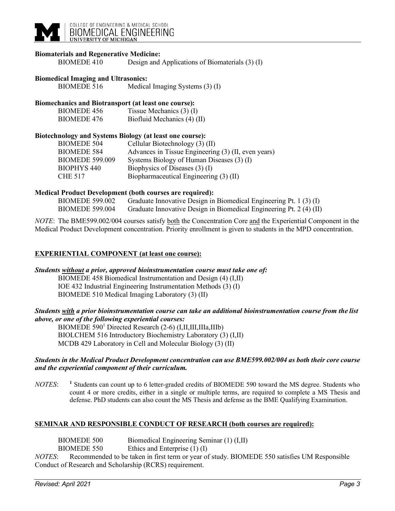

## **Biomaterials and Regenerative Medicine:**

BIOMEDE 410 Design and Applications of Biomaterials (3) (I)

### **Biomedical Imaging and Ultrasonics:**

BIOMEDE 516 Medical Imaging Systems (3) (I)

## **Biomechanics and Biotransport (at least one course):**

| <b>BIOMEDE 456</b> | Tissue Mechanics $(3)$ (I)  |
|--------------------|-----------------------------|
| <b>BIOMEDE 476</b> | Biofluid Mechanics (4) (II) |

## **Biotechnology and Systems Biology (at least one course):**

| <b>BIOMEDE 504</b>     | Cellular Biotechnology (3) (II)                     |
|------------------------|-----------------------------------------------------|
| <b>BIOMEDE 584</b>     | Advances in Tissue Engineering (3) (II, even years) |
| <b>BIOMEDE 599.009</b> | Systems Biology of Human Diseases (3) (I)           |
| BIOPHYS 440            | Biophysics of Diseases (3) (I)                      |
| CHE 517                | Biopharmaceutical Engineering (3) (II)              |

#### **Medical Product Development (both courses are required):**

| <b>BIOMEDE 599.002</b> | Graduate Innovative Design in Biomedical Engineering Pt. 1 (3) (I)  |  |
|------------------------|---------------------------------------------------------------------|--|
| <b>BIOMEDE 599.004</b> | Graduate Innovative Design in Biomedical Engineering Pt. 2 (4) (II) |  |

*NOTE*: The BME599.002/004 courses satisfy both the Concentration Core and the Experiential Component in the Medical Product Development concentration. Priority enrollment is given to students in the MPD concentration.

## **EXPERIENTIAL COMPONENT (at least one course):**

## *Students without a prior, approved bioinstrumentation course must take one of:*

BIOMEDE 458 Biomedical Instrumentation and Design (4) (I,II) IOE 432 Industrial Engineering Instrumentation Methods (3) (I) BIOMEDE 510 Medical Imaging Laboratory (3) (II)

## *Students with a prior bioinstrumentation course can take an additional bioinstrumentation course from the list above, or one of the following experiential courses:*

BIOMEDE 590<sup>1</sup> Directed Research (2-6) (I,II,III,IIIa,IIIb) BIOLCHEM 516 Introductory Biochemistry Laboratory (3) (I,II) MCDB 429 Laboratory in Cell and Molecular Biology (3) (II)

## *Students in the Medical Product Development concentration can use BME599.002/004 as both their core course and the experiential component of their curriculum.*

*NOTES*: **<sup>1</sup>** Students can count up to 6 letter-graded credits of BIOMEDE 590 toward the MS degree. Students who count 4 or more credits, either in a single or multiple terms, are required to complete a MS Thesis and defense. PhD students can also count the MS Thesis and defense as the BME Qualifying Examination.

## **SEMINAR AND RESPONSIBLE CONDUCT OF RESEARCH (both courses are required):**

BIOMEDE 500 Biomedical Engineering Seminar (1) (I,II) BIOMEDE 550 Ethics and Enterprise (1) (I) *NOTES*: Recommended to be taken in first term or year of study. BIOMEDE 550 satisfies UM Responsible Conduct of Research and Scholarship (RCRS) requirement.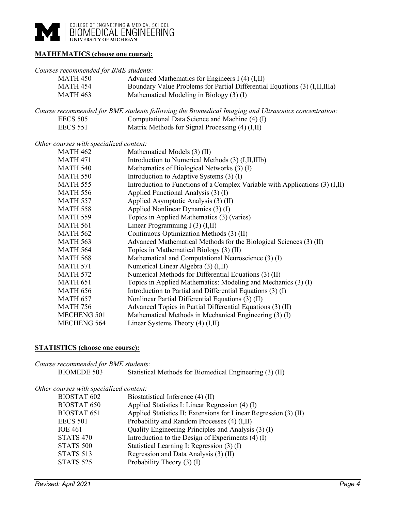

# **MATHEMATICS (choose one course):**

## *Courses recommended for BME students:*

| <b>MATH 450</b>                         | Advanced Mathematics for Engineers I (4) (I,II)                                                     |
|-----------------------------------------|-----------------------------------------------------------------------------------------------------|
| <b>MATH 454</b>                         | Boundary Value Problems for Partial Differential Equations (3) (I,II,IIIa)                          |
| <b>MATH 463</b>                         | Mathematical Modeling in Biology (3) (I)                                                            |
|                                         | Course recommended for BME students following the Biomedical Imaging and Ultrasonics concentration: |
| <b>EECS 505</b>                         | Computational Data Science and Machine (4) (I)                                                      |
| <b>EECS 551</b>                         | Matrix Methods for Signal Processing (4) (I,II)                                                     |
| Other courses with specialized content: |                                                                                                     |
| <b>MATH 462</b>                         | Mathematical Models (3) (II)                                                                        |
| <b>MATH 471</b>                         | Introduction to Numerical Methods (3) (I, II, IIIb)                                                 |
| <b>MATH 540</b>                         | Mathematics of Biological Networks (3) (I)                                                          |
| <b>MATH 550</b>                         | Introduction to Adaptive Systems (3) (I)                                                            |
| <b>MATH 555</b>                         | Introduction to Functions of a Complex Variable with Applications (3) (I,II)                        |
| <b>MATH 556</b>                         | Applied Functional Analysis (3) (I)                                                                 |
| <b>MATH 557</b>                         | Applied Asymptotic Analysis (3) (II)                                                                |
| <b>MATH 558</b>                         | Applied Nonlinear Dynamics (3) (I)                                                                  |
| <b>MATH 559</b>                         | Topics in Applied Mathematics (3) (varies)                                                          |
| <b>MATH 561</b>                         | Linear Programming I (3) (I,II)                                                                     |
| <b>MATH 562</b>                         | Continuous Optimization Methods (3) (II)                                                            |
| <b>MATH 563</b>                         | Advanced Mathematical Methods for the Biological Sciences (3) (II)                                  |
| <b>MATH 564</b>                         | Topics in Mathematical Biology (3) (II)                                                             |
| <b>MATH 568</b>                         | Mathematical and Computational Neuroscience (3) (I)                                                 |
| <b>MATH 571</b>                         | Numerical Linear Algebra (3) (I,II)                                                                 |
| <b>MATH 572</b>                         | Numerical Methods for Differential Equations (3) (II)                                               |
| <b>MATH 651</b>                         | Topics in Applied Mathematics: Modeling and Mechanics (3) (I)                                       |
| <b>MATH 656</b>                         | Introduction to Partial and Differential Equations (3) (I)                                          |
| <b>MATH 657</b>                         | Nonlinear Partial Differential Equations (3) (II)                                                   |
| <b>MATH 756</b>                         | Advanced Topics in Partial Differential Equations (3) (II)                                          |
| <b>MECHENG 501</b>                      | Mathematical Methods in Mechanical Engineering (3) (I)                                              |
| <b>MECHENG 564</b>                      | Linear Systems Theory $(4)$ $(I,II)$                                                                |

# **STATISTICS (choose one course):**

| Course recommended for BME students:    |                                                         |
|-----------------------------------------|---------------------------------------------------------|
| BIOMEDE 503                             | Statistical Methods for Biomedical Engineering (3) (II) |
| Other courses with specialized content: |                                                         |
| BIOSTAT 602                             | Biostatistical Inference (4) (II)                       |

| <b>BIOSTAT 602</b> | Biostatistical Inference (4) (II)                                |
|--------------------|------------------------------------------------------------------|
| <b>BIOSTAT 650</b> | Applied Statistics I: Linear Regression (4) (I)                  |
| <b>BIOSTAT 651</b> | Applied Statistics II: Extensions for Linear Regression (3) (II) |
| <b>EECS 501</b>    | Probability and Random Processes (4) (I,II)                      |
| <b>IOE 461</b>     | Quality Engineering Principles and Analysis (3) (I)              |
| <b>STATS 470</b>   | Introduction to the Design of Experiments (4) (I)                |
| <b>STATS 500</b>   | Statistical Learning I: Regression (3) (I)                       |
| <b>STATS 513</b>   | Regression and Data Analysis (3) (II)                            |
| <b>STATS 525</b>   | Probability Theory $(3)$ (I)                                     |
|                    |                                                                  |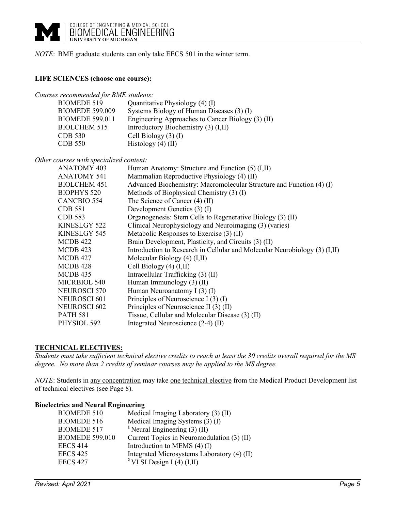*NOTE*: BME graduate students can only take EECS 501 in the winter term.

## **LIFE SCIENCES (choose one course):**

*Courses recommended for BME students:*

| BIOMEDE 519            | Quantitative Physiology (4) (I)                   |
|------------------------|---------------------------------------------------|
| <b>BIOMEDE 599.009</b> | Systems Biology of Human Diseases (3) (I)         |
| <b>BIOMEDE 599.011</b> | Engineering Approaches to Cancer Biology (3) (II) |
| BIOLCHEM 515           | Introductory Biochemistry (3) (I,II)              |
| CDB 530                | Cell Biology $(3)$ (I)                            |
| CDB 550                | Histology $(4)$ (II)                              |

*Other courses with specialized content:*

| <b>ANATOMY 403</b>  | Human Anatomy: Structure and Function (5) (I,II)                           |
|---------------------|----------------------------------------------------------------------------|
| <b>ANATOMY 541</b>  | Mammalian Reproductive Physiology (4) (II)                                 |
| <b>BIOLCHEM 451</b> | Advanced Biochemistry: Macromolecular Structure and Function (4) (I)       |
| <b>BIOPHYS 520</b>  | Methods of Biophysical Chemistry (3) (I)                                   |
| <b>CANCBIO 554</b>  | The Science of Cancer (4) (II)                                             |
| <b>CDB 581</b>      | Development Genetics (3) (I)                                               |
| CDB 583             | Organogenesis: Stem Cells to Regenerative Biology (3) (II)                 |
| KINESLGY 522        | Clinical Neurophysiology and Neuroimaging (3) (varies)                     |
| KINESLGY 545        | Metabolic Responses to Exercise (3) (II)                                   |
| MCDB 422            | Brain Development, Plasticity, and Circuits (3) (II)                       |
| MCDB 423            | Introduction to Research in Cellular and Molecular Neurobiology (3) (I,II) |
| MCDB 427            | Molecular Biology $(4)$ $(I,II)$                                           |
| MCDB 428            | Cell Biology $(4)$ $(I,II)$                                                |
| MCDB 435            | Intracellular Trafficking (3) (II)                                         |
| MICRBIOL 540        | Human Immunology $(3)$ (II)                                                |
| NEUROSCI 570        | Human Neuroanatomy I $(3)$ $(I)$                                           |
| NEUROSCI 601        | Principles of Neuroscience I (3) (I)                                       |
| <b>NEUROSCI 602</b> | Principles of Neuroscience II (3) (II)                                     |
| <b>PATH 581</b>     | Tissue, Cellular and Molecular Disease (3) (II)                            |
| PHYSIOL 592         | Integrated Neuroscience (2-4) (II)                                         |

# **TECHNICAL ELECTIVES:**

*Students must take sufficient technical elective credits to reach at least the 30 credits overall required for the MS degree. No more than 2 credits of seminar courses may be applied to the MS degree.* 

*NOTE*: Students in any concentration may take one technical elective from the Medical Product Development list of technical electives (see Page 8).

## **Bioelectrics and Neural Engineering**

| <b>BIOMEDE 510</b>     | Medical Imaging Laboratory (3) (II)         |
|------------------------|---------------------------------------------|
| <b>BIOMEDE 516</b>     | Medical Imaging Systems (3) (I)             |
| <b>BIOMEDE 517</b>     | <sup>1</sup> Neural Engineering $(3)$ (II)  |
| <b>BIOMEDE 599.010</b> | Current Topics in Neuromodulation (3) (II)  |
| <b>EECS 414</b>        | Introduction to MEMS $(4)$ (I)              |
| <b>EECS 425</b>        | Integrated Microsystems Laboratory (4) (II) |
| <b>EECS 427</b>        | <sup>2</sup> VLSI Design I (4) $(I,II)$     |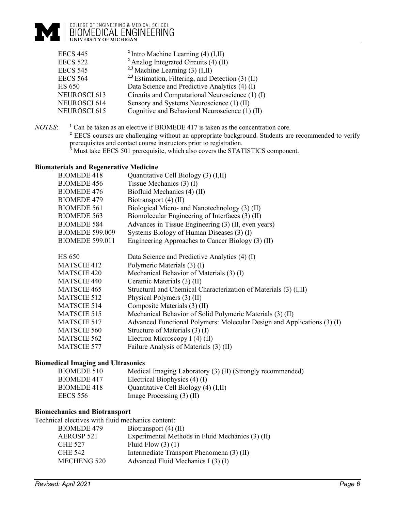# COLLEGE OF ENGINEERING & MEDICAL SCHOOL<br>BIOMEDICAL ENGINEERING<br>UNIVERSITY OF MICHIGAN

| <b>EECS 445</b>     | $2$ Intro Machine Learning (4) (I,II)               |
|---------------------|-----------------------------------------------------|
| <b>EECS 522</b>     | $2$ Analog Integrated Circuits (4) (II)             |
| <b>EECS 545</b>     | <sup>2,3</sup> Machine Learning (3) $(I, II)$       |
| <b>EECS 564</b>     | $2,3$ Estimation, Filtering, and Detection (3) (II) |
| <b>HS 650</b>       | Data Science and Predictive Analytics (4) (I)       |
| <b>NEUROSCI 613</b> | Circuits and Computational Neuroscience (1) (I)     |
| NEUROSCI 614        | Sensory and Systems Neuroscience (1) (II)           |
| NEUROSCI 615        | Cognitive and Behavioral Neuroscience (1) (II)      |

*NOTES*: **<sup>1</sup>** Can be taken as an elective if BIOMEDE 417 is taken as the concentration core. <sup>2</sup> EECS courses are challenging without an appropriate background. Students are recommended to verify prerequisites and contact course instructors prior to registration. <sup>3</sup> Must take EECS 501 prerequisite, which also covers the STATISTICS component.

## **Biomaterials and Regenerative Medicine**

| eriais anu regenerative preuleme |                                                                         |
|----------------------------------|-------------------------------------------------------------------------|
| <b>BIOMEDE 418</b>               | Quantitative Cell Biology (3) (I,II)                                    |
| <b>BIOMEDE 456</b>               | Tissue Mechanics $(3)$ (I)                                              |
| <b>BIOMEDE 476</b>               | Biofluid Mechanics (4) (II)                                             |
| <b>BIOMEDE 479</b>               | Biotransport (4) (II)                                                   |
| <b>BIOMEDE 561</b>               | Biological Micro- and Nanotechnology (3) (II)                           |
| <b>BIOMEDE 563</b>               | Biomolecular Engineering of Interfaces (3) (II)                         |
| <b>BIOMEDE 584</b>               | Advances in Tissue Engineering (3) (II, even years)                     |
| <b>BIOMEDE 599.009</b>           | Systems Biology of Human Diseases (3) (I)                               |
| <b>BIOMEDE 599.011</b>           | Engineering Approaches to Cancer Biology (3) (II)                       |
|                                  |                                                                         |
| <b>HS 650</b>                    | Data Science and Predictive Analytics (4) (I)                           |
| <b>MATSCIE 412</b>               | Polymeric Materials (3) (I)                                             |
| <b>MATSCIE 420</b>               | Mechanical Behavior of Materials (3) (I)                                |
| <b>MATSCIE 440</b>               | Ceramic Materials (3) (II)                                              |
| <b>MATSCIE 465</b>               | Structural and Chemical Characterization of Materials (3) (I,II)        |
| <b>MATSCIE 512</b>               | Physical Polymers (3) (II)                                              |
| <b>MATSCIE 514</b>               | Composite Materials (3) (II)                                            |
| <b>MATSCIE 515</b>               | Mechanical Behavior of Solid Polymeric Materials (3) (II)               |
| <b>MATSCIE 517</b>               | Advanced Functional Polymers: Molecular Design and Applications (3) (I) |
| <b>MATSCIE 560</b>               | Structure of Materials (3) (I)                                          |
| <b>MATSCIE 562</b>               | Electron Microscopy I $(4)$ (II)                                        |
| <b>MATSCIE 577</b>               | Failure Analysis of Materials (3) (II)                                  |
|                                  |                                                                         |

## **Biomedical Imaging and Ultrasonics**

| BIOMEDE 510 | Medical Imaging Laboratory (3) (II) (Strongly recommended) |
|-------------|------------------------------------------------------------|
| BIOMEDE 417 | Electrical Biophysics $(4)$ (I)                            |
| BIOMEDE 418 | Quantitative Cell Biology (4) (I,II)                       |
| EECS 556    | Image Processing $(3)$ (II)                                |

## **Biomechanics and Biotransport**

Technical electives with fluid mechanics content:

| <b>BIOMEDE 479</b> | Biotransport (4) (II)                            |
|--------------------|--------------------------------------------------|
| AEROSP 521         | Experimental Methods in Fluid Mechanics (3) (II) |
| <b>CHE 527</b>     | Fluid Flow $(3)$ $(1)$                           |
| <b>CHE 542</b>     | Intermediate Transport Phenomena (3) (II)        |
| <b>MECHENG 520</b> | Advanced Fluid Mechanics I (3) (I)               |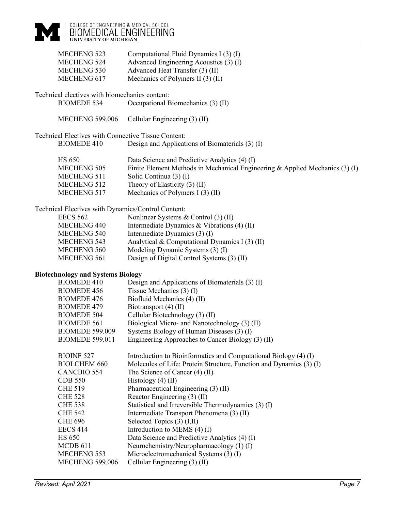| <b>MECHENG 523</b><br>MECHENG 524<br>MECHENG 530<br>MECHENG 617                         | Computational Fluid Dynamics I (3) (I)<br>Advanced Engineering Acoustics (3) (I)<br>Advanced Heat Transfer (3) (II)<br>Mechanics of Polymers II (3) (II)                                                                         |
|-----------------------------------------------------------------------------------------|----------------------------------------------------------------------------------------------------------------------------------------------------------------------------------------------------------------------------------|
| Technical electives with biomechanics content:<br><b>BIOMEDE 534</b>                    | Occupational Biomechanics (3) (II)                                                                                                                                                                                               |
|                                                                                         |                                                                                                                                                                                                                                  |
| <b>MECHENG 599.006</b>                                                                  | Cellular Engineering (3) (II)                                                                                                                                                                                                    |
| Technical Electives with Connective Tissue Content:                                     |                                                                                                                                                                                                                                  |
| <b>BIOMEDE 410</b>                                                                      | Design and Applications of Biomaterials (3) (I)                                                                                                                                                                                  |
| <b>HS 650</b><br><b>MECHENG 505</b><br>MECHENG 511<br><b>MECHENG 512</b><br>MECHENG 517 | Data Science and Predictive Analytics (4) (I)<br>Finite Element Methods in Mechanical Engineering & Applied Mechanics (3) (I)<br>Solid Continua (3) (I)<br>Theory of Elasticity (3) (II)<br>Mechanics of Polymers I $(3)$ $(II)$ |
| Technical Electives with Dynamics/Control Content:                                      |                                                                                                                                                                                                                                  |
| <b>EECS 562</b>                                                                         | Nonlinear Systems & Control (3) (II)                                                                                                                                                                                             |
| <b>MECHENG 440</b>                                                                      | Intermediate Dynamics & Vibrations $(4)$ (II)                                                                                                                                                                                    |
| MECHENG 540<br><b>MECHENG 543</b>                                                       | Intermediate Dynamics (3) (I)<br>Analytical & Computational Dynamics I (3) (II)                                                                                                                                                  |
| MECHENG 560                                                                             | Modeling Dynamic Systems (3) (I)                                                                                                                                                                                                 |
| <b>MECHENG 561</b>                                                                      | Design of Digital Control Systems (3) (II)                                                                                                                                                                                       |
|                                                                                         |                                                                                                                                                                                                                                  |
| <b>Biotechnology and Systems Biology</b>                                                |                                                                                                                                                                                                                                  |
| <b>BIOMEDE 410</b>                                                                      | Design and Applications of Biomaterials (3) (I)                                                                                                                                                                                  |
| <b>BIOMEDE 456</b>                                                                      | Tissue Mechanics $(3)$ (I)                                                                                                                                                                                                       |
| <b>BIOMEDE 476</b>                                                                      | Biofluid Mechanics (4) (II)                                                                                                                                                                                                      |
| <b>BIOMEDE 479</b>                                                                      | Biotransport (4) (II)                                                                                                                                                                                                            |
| <b>BIOMEDE 504</b>                                                                      | Cellular Biotechnology (3) (II)                                                                                                                                                                                                  |
| <b>BIOMEDE 561</b><br><b>BIOMEDE 599.009</b>                                            | Biological Micro- and Nanotechnology (3) (II)                                                                                                                                                                                    |
| <b>BIOMEDE 599.011</b>                                                                  | Systems Biology of Human Diseases (3) (I)<br>Engineering Approaches to Cancer Biology (3) (II)                                                                                                                                   |
|                                                                                         |                                                                                                                                                                                                                                  |
| <b>BIOINF 527</b>                                                                       | Introduction to Bioinformatics and Computational Biology (4) (I)                                                                                                                                                                 |
| <b>BIOLCHEM 660</b>                                                                     | Molecules of Life: Protein Structure, Function and Dynamics (3) (I)                                                                                                                                                              |
| <b>CANCBIO 554</b>                                                                      | The Science of Cancer (4) (II)                                                                                                                                                                                                   |
| <b>CDB 550</b>                                                                          | Histology $(4)$ (II)                                                                                                                                                                                                             |
| <b>CHE 519</b>                                                                          | Pharmaceutical Engineering (3) (II)                                                                                                                                                                                              |
| <b>CHE 528</b>                                                                          | Reactor Engineering (3) (II)                                                                                                                                                                                                     |
| <b>CHE 538</b>                                                                          | Statistical and Irreversible Thermodynamics (3) (I)                                                                                                                                                                              |
| <b>CHE 542</b>                                                                          | Intermediate Transport Phenomena (3) (II)                                                                                                                                                                                        |
| <b>CHE 696</b>                                                                          | Selected Topics (3) (I,II)                                                                                                                                                                                                       |
| <b>EECS 414</b><br><b>HS 650</b>                                                        | Introduction to MEMS $(4)$ (I)<br>Data Science and Predictive Analytics (4) (I)                                                                                                                                                  |
| MCDB 611                                                                                | Neurochemistry/Neuropharmacology (1)(I)                                                                                                                                                                                          |
| <b>MECHENG 553</b>                                                                      | Microelectromechanical Systems (3) (I)                                                                                                                                                                                           |
| <b>MECHENG 599.006</b>                                                                  | Cellular Engineering (3) (II)                                                                                                                                                                                                    |
|                                                                                         |                                                                                                                                                                                                                                  |